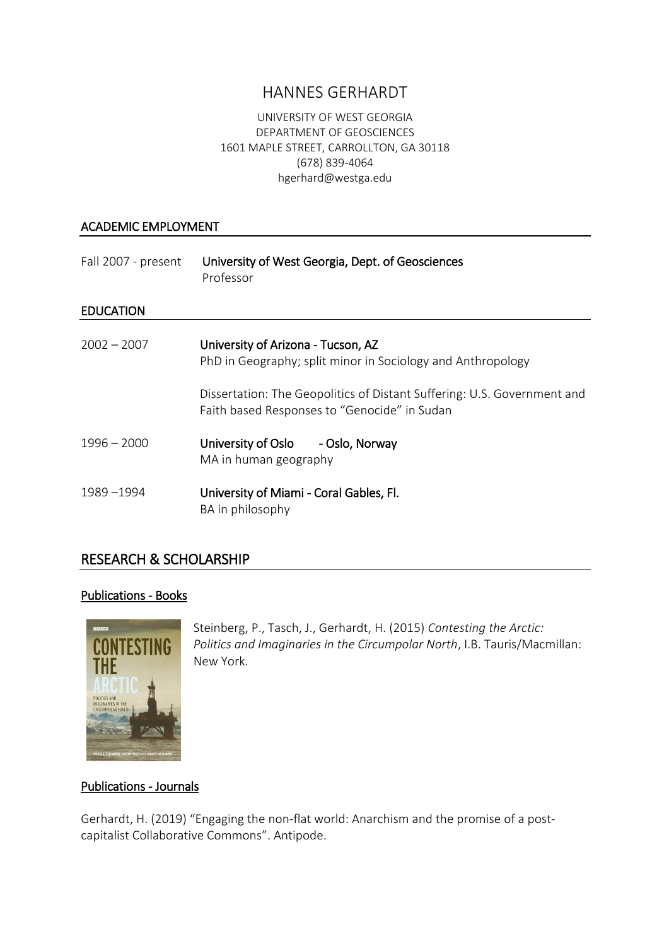# HANNES GERHARDT

#### UNIVERSITY OF WEST GEORGIA DEPARTMENT OF GEOSCIENCES 1601 MAPLE STREET, CARROLLTON, GA 30118 (678) 839-4064 hgerhard@westga.edu

#### ACADEMIC EMPLOYMENT

| Fall 2007 - present | University of West Georgia, Dept. of Geosciences<br>Professor                                                           |
|---------------------|-------------------------------------------------------------------------------------------------------------------------|
| <b>EDUCATION</b>    |                                                                                                                         |
| $2002 - 2007$       | University of Arizona - Tucson, AZ<br>PhD in Geography; split minor in Sociology and Anthropology                       |
|                     | Dissertation: The Geopolitics of Distant Suffering: U.S. Government and<br>Faith based Responses to "Genocide" in Sudan |
| $1996 - 2000$       | University of Oslo - Oslo, Norway<br>MA in human geography                                                              |
| 1989-1994           | University of Miami - Coral Gables, Fl.<br>BA in philosophy                                                             |

## RESEARCH & SCHOLARSHIP

#### Publications - Books



Steinberg, P., Tasch, J., Gerhardt, H. (2015) *Contesting the Arctic: Politics and Imaginaries in the Circumpolar North*, I.B. Tauris/Macmillan: New York.

#### Publications - Journals

Gerhardt, H. (2019) "Engaging the non-flat world: Anarchism and the promise of a postcapitalist Collaborative Commons". Antipode.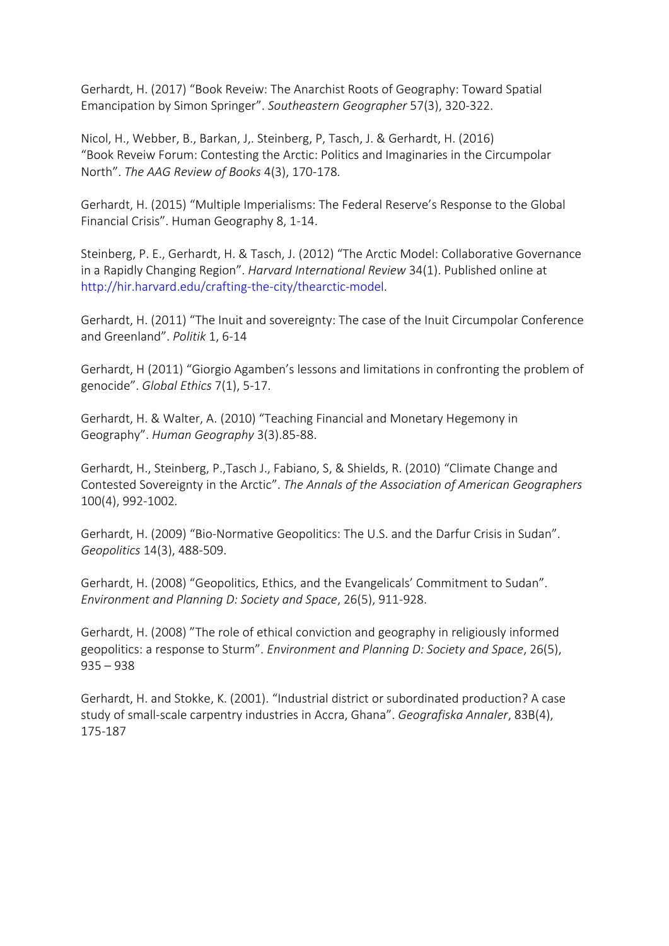Gerhardt, H. (2017) "Book Reveiw: The Anarchist Roots of Geography: Toward Spatial Emancipation by Simon Springer". *Southeastern Geographer* 57(3), 320-322.

Nicol, H., Webber, B., Barkan, J,. [Steinberg,](http://www.tandfonline.com/author/Steinberg%2C+Philip) P, [Tasch,](http://www.tandfonline.com/author/Tasch%2C+Jeremy) J. & [Gerhardt,](http://www.tandfonline.com/author/Gerhardt%2C+Hannes) H. (2016) "Book Reveiw Forum: [Contesting the Arctic: Politics and Imaginaries in the Circumpolar](http://www.tandfonline.com/doi/full/10.1080/2325548X.2016.1187510)  [North](http://www.tandfonline.com/doi/full/10.1080/2325548X.2016.1187510)". *The AAG Review of Books* 4(3), 170-178*.*

Gerhardt, H. (2015) "Multiple Imperialisms: The Federal Reserve's Response to the Global Financial Crisis". Human Geography 8, 1-14.

Steinberg, P. E., Gerhardt, H. & Tasch, J. (2012) "The Arctic Model: Collaborative Governance in a Rapidly Changing Region". *Harvard International Review* 34(1). Published online at [http://hir.harvard.edu/crafting-the-city/thearctic-model.](http://hir.harvard.edu/crafting-the-city/thearctic-model)

Gerhardt, H. (2011) "The Inuit and sovereignty: The case of the Inuit Circumpolar Conference and Greenland". *Politik* 1, 6-14

Gerhardt, H (2011) "Giorgio Agamben's lessons and limitations in confronting the problem of genocide". *Global Ethics* 7(1), 5-17.

Gerhardt, H. & Walter, A. (2010) "Teaching Financial and Monetary Hegemony in Geography". *Human Geography* 3(3).85-88.

Gerhardt, H., Steinberg, P.,Tasch J., Fabiano, S, & Shields, R. (2010) "Climate Change and Contested Sovereignty in the Arctic". *The Annals of the Association of American Geographers* 100(4), 992-1002*.*

Gerhardt, H. (2009) "Bio-Normative Geopolitics: The U.S. and the Darfur Crisis in Sudan". *Geopolitics* 14(3), 488-509.

Gerhardt, H. (2008) "Geopolitics, Ethics, and the Evangelicals' Commitment to Sudan". *Environment and Planning D: Society and Space*, 26(5), 911-928.

Gerhardt, H. (2008) "The role of ethical conviction and geography in religiously informed geopolitics: a response to Sturm". *Environment and Planning D: Society and Space*, 26(5), 935 – 938

Gerhardt, H. and Stokke, K. (2001). "Industrial district or subordinated production? A case study of small-scale carpentry industries in Accra, Ghana". *Geografiska Annaler*, 83B(4), 175-187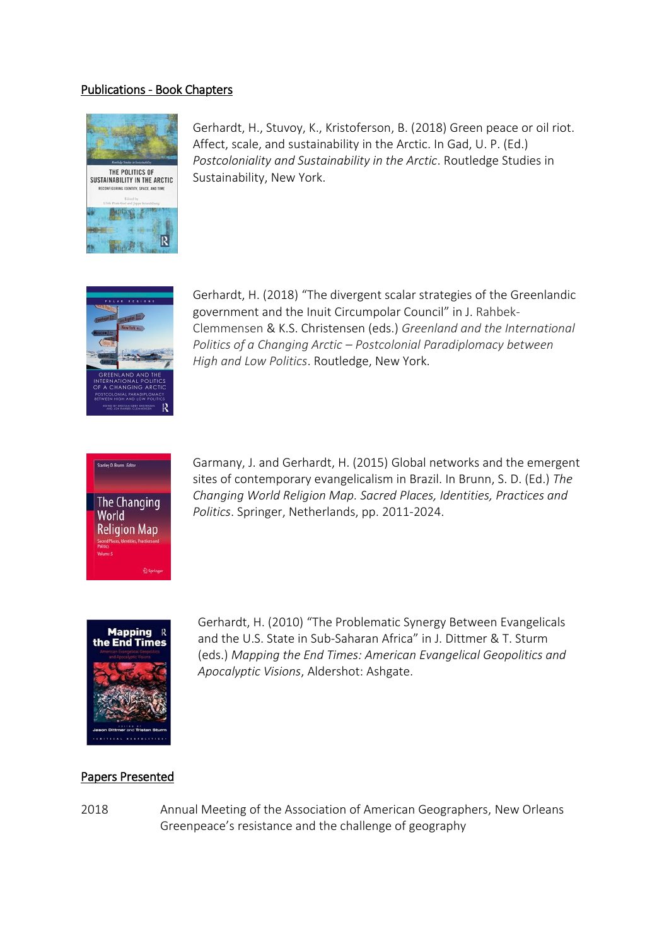#### Publications - Book Chapters



Gerhardt, H., Stuvoy, K., Kristoferson, B. (2018) Green peace or oil riot. Affect, scale, and sustainability in the Arctic. In Gad, U. P. (Ed.) *Postcoloniality and Sustainability in the Arctic*. Routledge Studies in Sustainability, New York.



Gerhardt, H. (2018) "The divergent scalar strategies of the Greenlandic government and the Inuit Circumpolar Council" in J. Rahbek-Clemmensen & K.S. Christensen (eds.) *Greenland and the International Politics of a Changing Arctic – Postcolonial Paradiplomacy between High and Low Politics*. Routledge, New York.



Garmany, J. and Gerhardt, H. (2015) Global networks and the emergent sites of contemporary evangelicalism in Brazil. In Brunn, S. D. (Ed.) *The Changing World Religion Map. Sacred Places, Identities, Practices and Politics*. Springer, Netherlands, pp. 2011-2024.



Gerhardt, H. (2010) "The Problematic Synergy Between Evangelicals and the U.S. State in Sub-Saharan Africa" in J. Dittmer & T. Sturm (eds.) *Mapping the End Times: American Evangelical Geopolitics and Apocalyptic Visions*, Aldershot: Ashgate.

#### Papers Presented

2018 Annual Meeting of the Association of American Geographers, New Orleans Greenpeace's resistance and the challenge of geography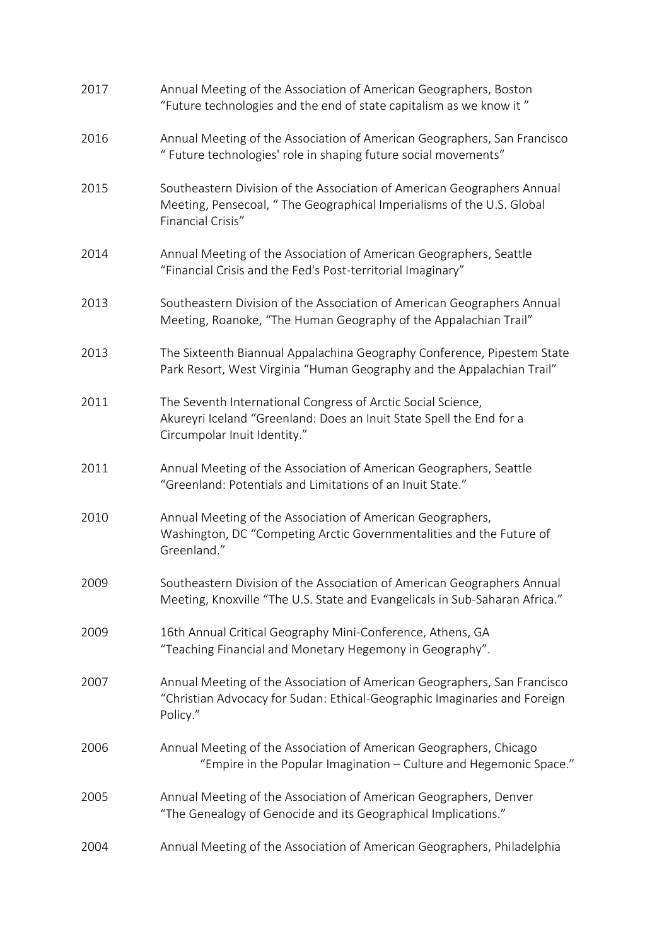| 2017 | Annual Meeting of the Association of American Geographers, Boston<br>"Future technologies and the end of state capitalism as we know it"                              |
|------|-----------------------------------------------------------------------------------------------------------------------------------------------------------------------|
| 2016 | Annual Meeting of the Association of American Geographers, San Francisco<br>" Future technologies' role in shaping future social movements"                           |
| 2015 | Southeastern Division of the Association of American Geographers Annual<br>Meeting, Pensecoal, "The Geographical Imperialisms of the U.S. Global<br>Financial Crisis" |
| 2014 | Annual Meeting of the Association of American Geographers, Seattle<br>"Financial Crisis and the Fed's Post-territorial Imaginary"                                     |
| 2013 | Southeastern Division of the Association of American Geographers Annual<br>Meeting, Roanoke, "The Human Geography of the Appalachian Trail"                           |
| 2013 | The Sixteenth Biannual Appalachina Geography Conference, Pipestem State<br>Park Resort, West Virginia "Human Geography and the Appalachian Trail"                     |
| 2011 | The Seventh International Congress of Arctic Social Science,<br>Akureyri Iceland "Greenland: Does an Inuit State Spell the End for a<br>Circumpolar Inuit Identity."  |
| 2011 | Annual Meeting of the Association of American Geographers, Seattle<br>"Greenland: Potentials and Limitations of an Inuit State."                                      |
| 2010 | Annual Meeting of the Association of American Geographers,<br>Washington, DC "Competing Arctic Governmentalities and the Future of<br>Greenland."                     |
| 2009 | Southeastern Division of the Association of American Geographers Annual<br>Meeting, Knoxville "The U.S. State and Evangelicals in Sub-Saharan Africa."                |
| 2009 | 16th Annual Critical Geography Mini-Conference, Athens, GA<br>"Teaching Financial and Monetary Hegemony in Geography".                                                |
| 2007 | Annual Meeting of the Association of American Geographers, San Francisco<br>"Christian Advocacy for Sudan: Ethical-Geographic Imaginaries and Foreign<br>Policy."     |
| 2006 | Annual Meeting of the Association of American Geographers, Chicago<br>"Empire in the Popular Imagination - Culture and Hegemonic Space."                              |
| 2005 | Annual Meeting of the Association of American Geographers, Denver<br>"The Genealogy of Genocide and its Geographical Implications."                                   |
| 2004 | Annual Meeting of the Association of American Geographers, Philadelphia                                                                                               |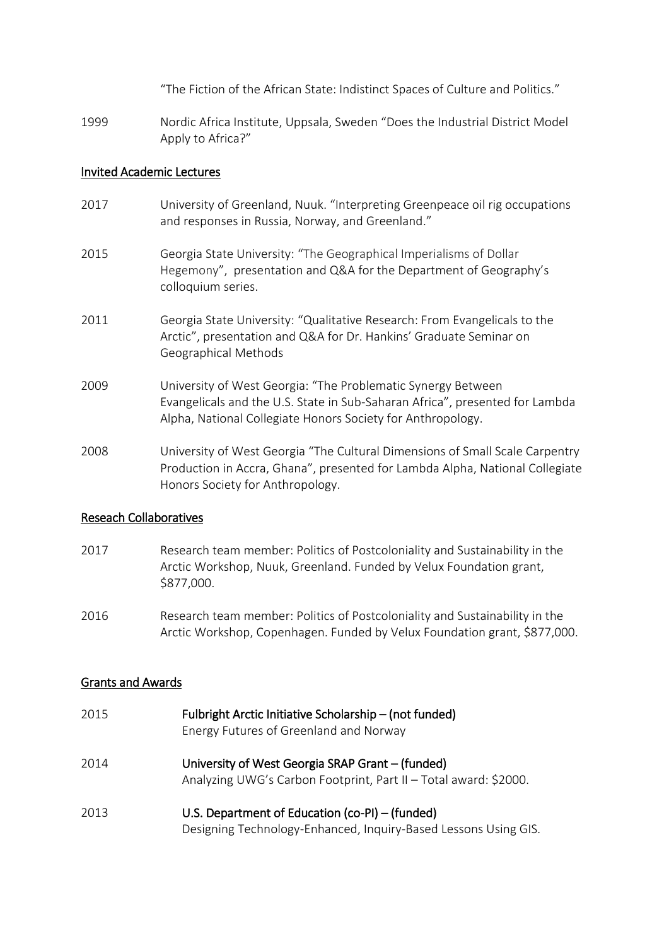"The Fiction of the African State: Indistinct Spaces of Culture and Politics."

1999 Nordic Africa Institute, Uppsala, Sweden "Does the Industrial District Model Apply to Africa?"

#### Invited Academic Lectures

- 2017 University of Greenland, Nuuk. "Interpreting Greenpeace oil rig occupations and responses in Russia, Norway, and Greenland."
- 2015 Georgia State University: "The Geographical Imperialisms of Dollar Hegemony", presentation and Q&A for the Department of Geography's colloquium series.
- 2011 Georgia State University: "Qualitative Research: From Evangelicals to the Arctic", presentation and Q&A for Dr. Hankins' Graduate Seminar on Geographical Methods
- 2009 University of West Georgia: "The Problematic Synergy Between Evangelicals and the U.S. State in Sub-Saharan Africa", presented for Lambda Alpha, National Collegiate Honors Society for Anthropology.
- 2008 University of West Georgia "The Cultural Dimensions of Small Scale Carpentry Production in Accra, Ghana", presented for Lambda Alpha, National Collegiate Honors Society for Anthropology.

#### Reseach Collaboratives

- 2017 Research team member: Politics of Postcoloniality and Sustainability in the Arctic Workshop, Nuuk, Greenland. Funded by Velux Foundation grant, \$877,000.
- 2016 Research team member: Politics of Postcoloniality and Sustainability in the Arctic Workshop, Copenhagen. Funded by Velux Foundation grant, \$877,000.

#### Grants and Awards

2015 Fulbright Arctic Initiative Scholarship – (not funded) Energy Futures of Greenland and Norway 2014 University of West Georgia SRAP Grant – (funded) Analyzing UWG's Carbon Footprint, Part II – Total award: \$2000. 2013 U.S. Department of Education (co-PI) – (funded) Designing Technology-Enhanced, Inquiry-Based Lessons Using GIS.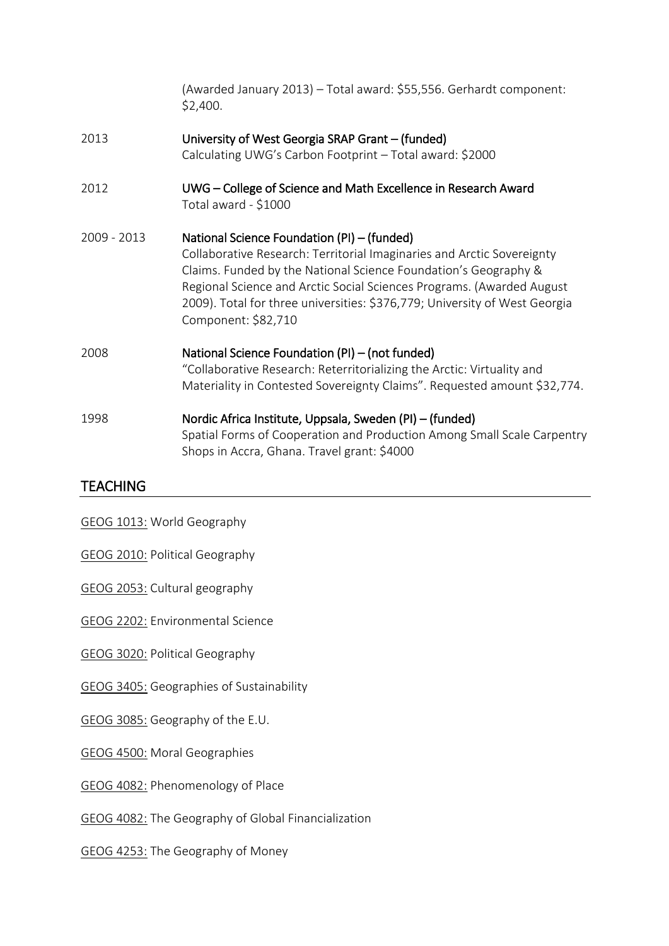|             | (Awarded January 2013) - Total award: \$55,556. Gerhardt component:<br>\$2,400.                                                                                                                                                                                                                                                                                        |
|-------------|------------------------------------------------------------------------------------------------------------------------------------------------------------------------------------------------------------------------------------------------------------------------------------------------------------------------------------------------------------------------|
| 2013        | University of West Georgia SRAP Grant – (funded)<br>Calculating UWG's Carbon Footprint - Total award: \$2000                                                                                                                                                                                                                                                           |
| 2012        | UWG – College of Science and Math Excellence in Research Award<br>Total award - \$1000                                                                                                                                                                                                                                                                                 |
| 2009 - 2013 | National Science Foundation (PI) - (funded)<br>Collaborative Research: Territorial Imaginaries and Arctic Sovereignty<br>Claims. Funded by the National Science Foundation's Geography &<br>Regional Science and Arctic Social Sciences Programs. (Awarded August<br>2009). Total for three universities: \$376,779; University of West Georgia<br>Component: \$82,710 |
| 2008        | National Science Foundation (PI) – (not funded)<br>"Collaborative Research: Reterritorializing the Arctic: Virtuality and<br>Materiality in Contested Sovereignty Claims". Requested amount \$32,774.                                                                                                                                                                  |
| 1998        | Nordic Africa Institute, Uppsala, Sweden (PI) – (funded)<br>Spatial Forms of Cooperation and Production Among Small Scale Carpentry<br>Shops in Accra, Ghana. Travel grant: \$4000                                                                                                                                                                                     |

## **TEACHING**

GEOG 1013: World Geography

GEOG 2010: Political Geography

GEOG 2053: Cultural geography

GEOG 2202: Environmental Science

GEOG 3020: Political Geography

GEOG 3405: Geographies of Sustainability

GEOG 3085: Geography of the E.U.

GEOG 4500: Moral Geographies

GEOG 4082: Phenomenology of Place

GEOG 4082: The Geography of Global Financialization

GEOG 4253: The Geography of Money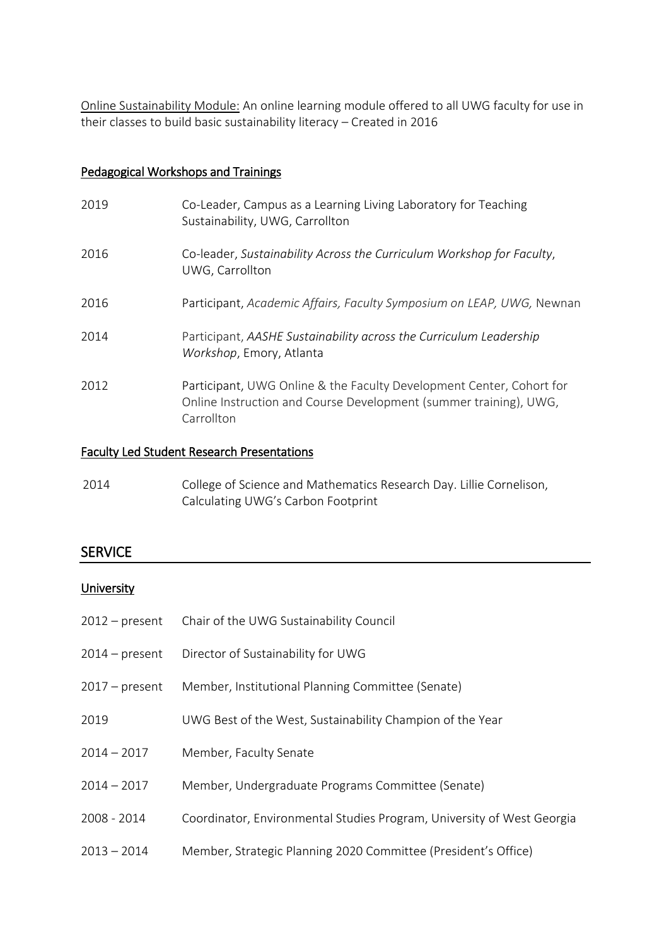Online Sustainability Module: An online learning module offered to all UWG faculty for use in their classes to build basic sustainability literacy – Created in 2016

### Pedagogical Workshops and Trainings

| 2019 | Co-Leader, Campus as a Learning Living Laboratory for Teaching<br>Sustainability, UWG, Carrollton                                                       |
|------|---------------------------------------------------------------------------------------------------------------------------------------------------------|
| 2016 | Co-leader, Sustainability Across the Curriculum Workshop for Faculty,<br>UWG, Carrollton                                                                |
| 2016 | Participant, Academic Affairs, Faculty Symposium on LEAP, UWG, Newnan                                                                                   |
| 2014 | Participant, AASHE Sustainability across the Curriculum Leadership<br>Workshop, Emory, Atlanta                                                          |
| 2012 | Participant, UWG Online & the Faculty Development Center, Cohort for<br>Online Instruction and Course Development (summer training), UWG,<br>Carrollton |

#### Faculty Led Student Research Presentations

| 2014 | College of Science and Mathematics Research Day. Lillie Cornelison, |
|------|---------------------------------------------------------------------|
|      | Calculating UWG's Carbon Footprint                                  |

## **SERVICE**

#### **University**

| $2012$ – present | Chair of the UWG Sustainability Council                                |
|------------------|------------------------------------------------------------------------|
| $2014$ – present | Director of Sustainability for UWG                                     |
| $2017$ – present | Member, Institutional Planning Committee (Senate)                      |
| 2019             | UWG Best of the West, Sustainability Champion of the Year              |
| $2014 - 2017$    | Member, Faculty Senate                                                 |
| $2014 - 2017$    | Member, Undergraduate Programs Committee (Senate)                      |
| 2008 - 2014      | Coordinator, Environmental Studies Program, University of West Georgia |
| $2013 - 2014$    | Member, Strategic Planning 2020 Committee (President's Office)         |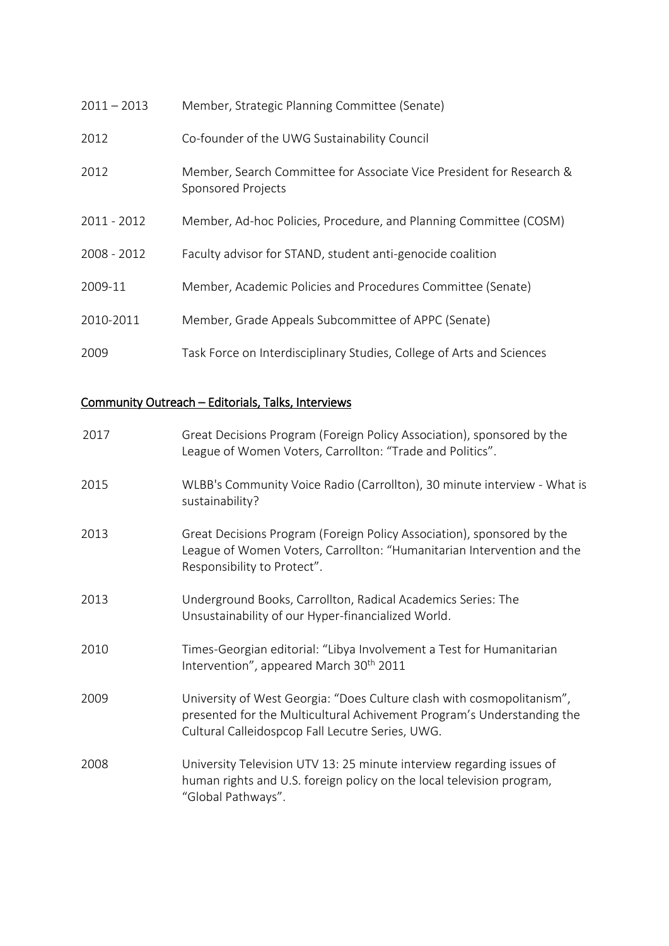| $2011 - 2013$ | Member, Strategic Planning Committee (Senate)                                              |
|---------------|--------------------------------------------------------------------------------------------|
| 2012          | Co-founder of the UWG Sustainability Council                                               |
| 2012          | Member, Search Committee for Associate Vice President for Research &<br>Sponsored Projects |
| 2011 - 2012   | Member, Ad-hoc Policies, Procedure, and Planning Committee (COSM)                          |
| 2008 - 2012   | Faculty advisor for STAND, student anti-genocide coalition                                 |
| 2009-11       | Member, Academic Policies and Procedures Committee (Senate)                                |
| 2010-2011     | Member, Grade Appeals Subcommittee of APPC (Senate)                                        |
| 2009          | Task Force on Interdisciplinary Studies, College of Arts and Sciences                      |

# Community Outreach – Editorials, Talks, Interviews

| 2017 | Great Decisions Program (Foreign Policy Association), sponsored by the<br>League of Women Voters, Carrollton: "Trade and Politics".                                                                  |
|------|------------------------------------------------------------------------------------------------------------------------------------------------------------------------------------------------------|
| 2015 | WLBB's Community Voice Radio (Carrollton), 30 minute interview - What is<br>sustainability?                                                                                                          |
| 2013 | Great Decisions Program (Foreign Policy Association), sponsored by the<br>League of Women Voters, Carrollton: "Humanitarian Intervention and the<br>Responsibility to Protect".                      |
| 2013 | Underground Books, Carrollton, Radical Academics Series: The<br>Unsustainability of our Hyper-financialized World.                                                                                   |
| 2010 | Times-Georgian editorial: "Libya Involvement a Test for Humanitarian<br>Intervention", appeared March 30 <sup>th</sup> 2011                                                                          |
| 2009 | University of West Georgia: "Does Culture clash with cosmopolitanism",<br>presented for the Multicultural Achivement Program's Understanding the<br>Cultural Calleidospcop Fall Lecutre Series, UWG. |
| 2008 | University Television UTV 13: 25 minute interview regarding issues of<br>human rights and U.S. foreign policy on the local television program,<br>"Global Pathways".                                 |